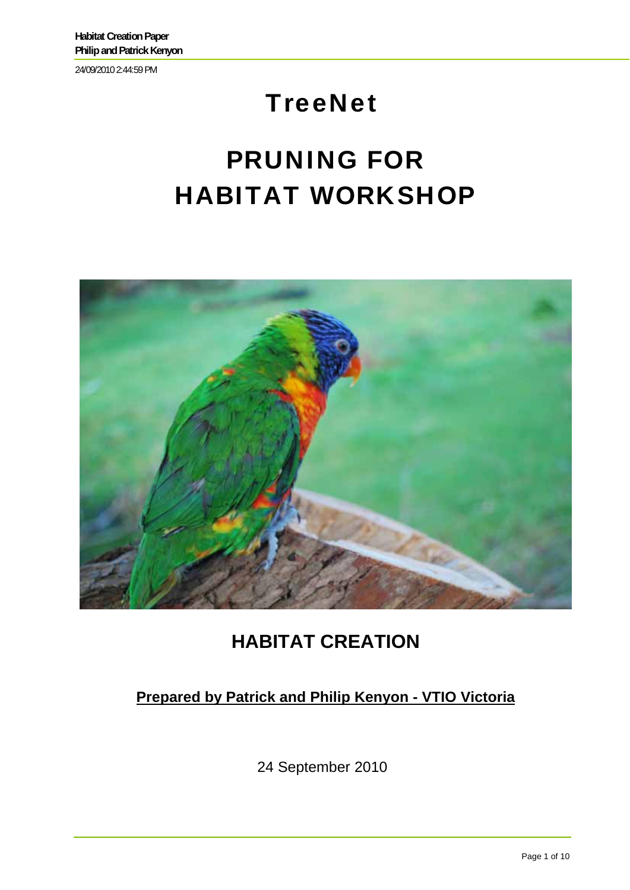24/09/2010 2:44:59 PM

## **TreeNet**

# PRUNING FOR HABITAT WORKSHOP



## **HABITAT CREATION**

#### **Prepared by Patrick and Philip Kenyon - VTIO Victoria**

24 September 2010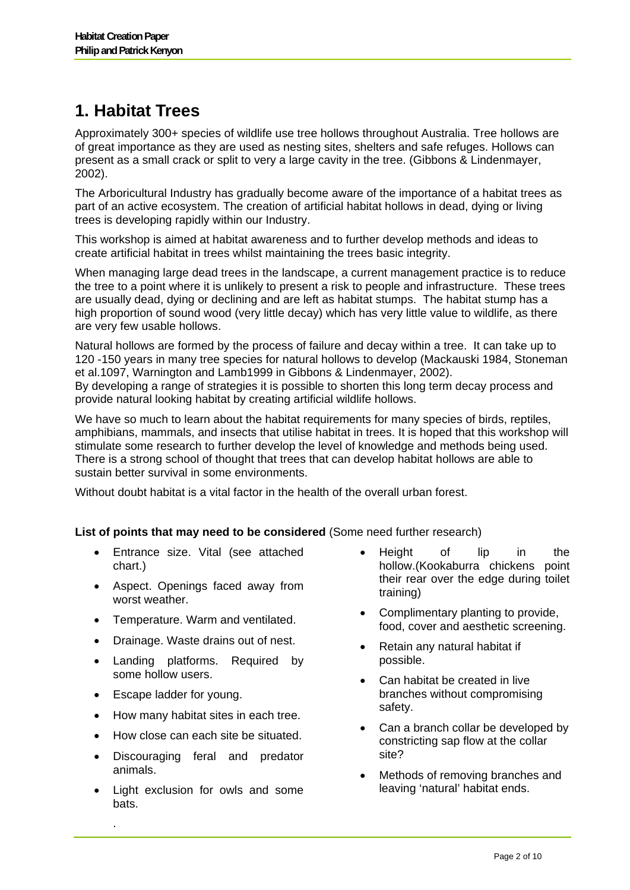## **1. Habitat Trees**

Approximately 300+ species of wildlife use tree hollows throughout Australia. Tree hollows are of great importance as they are used as nesting sites, shelters and safe refuges. Hollows can present as a small crack or split to very a large cavity in the tree. (Gibbons & Lindenmayer, 2002).

The Arboricultural Industry has gradually become aware of the importance of a habitat trees as part of an active ecosystem. The creation of artificial habitat hollows in dead, dying or living trees is developing rapidly within our Industry.

This workshop is aimed at habitat awareness and to further develop methods and ideas to create artificial habitat in trees whilst maintaining the trees basic integrity.

When managing large dead trees in the landscape, a current management practice is to reduce the tree to a point where it is unlikely to present a risk to people and infrastructure. These trees are usually dead, dying or declining and are left as habitat stumps. The habitat stump has a high proportion of sound wood (very little decay) which has very little value to wildlife, as there are very few usable hollows.

Natural hollows are formed by the process of failure and decay within a tree. It can take up to 120 -150 years in many tree species for natural hollows to develop (Mackauski 1984, Stoneman et al.1097, Warnington and Lamb1999 in Gibbons & Lindenmayer, 2002). By developing a range of strategies it is possible to shorten this long term decay process and provide natural looking habitat by creating artificial wildlife hollows.

We have so much to learn about the habitat requirements for many species of birds, reptiles, amphibians, mammals, and insects that utilise habitat in trees. It is hoped that this workshop will stimulate some research to further develop the level of knowledge and methods being used. There is a strong school of thought that trees that can develop habitat hollows are able to sustain better survival in some environments.

Without doubt habitat is a vital factor in the health of the overall urban forest.

**List of points that may need to be considered** (Some need further research)

- Entrance size. Vital (see attached chart.)
- Aspect. Openings faced away from worst weather.
- Temperature. Warm and ventilated.
- Drainage. Waste drains out of nest.
- Landing platforms. Required by some hollow users.
- Escape ladder for young.

.

- How many habitat sites in each tree.
- How close can each site be situated.
- Discouraging feral and predator animals.
- Light exclusion for owls and some bats.
- Height of lip in the hollow.(Kookaburra chickens point their rear over the edge during toilet training)
- Complimentary planting to provide, food, cover and aesthetic screening.
- Retain any natural habitat if possible.
- Can habitat be created in live branches without compromising safety.
- Can a branch collar be developed by constricting sap flow at the collar site?
- Methods of removing branches and leaving 'natural' habitat ends.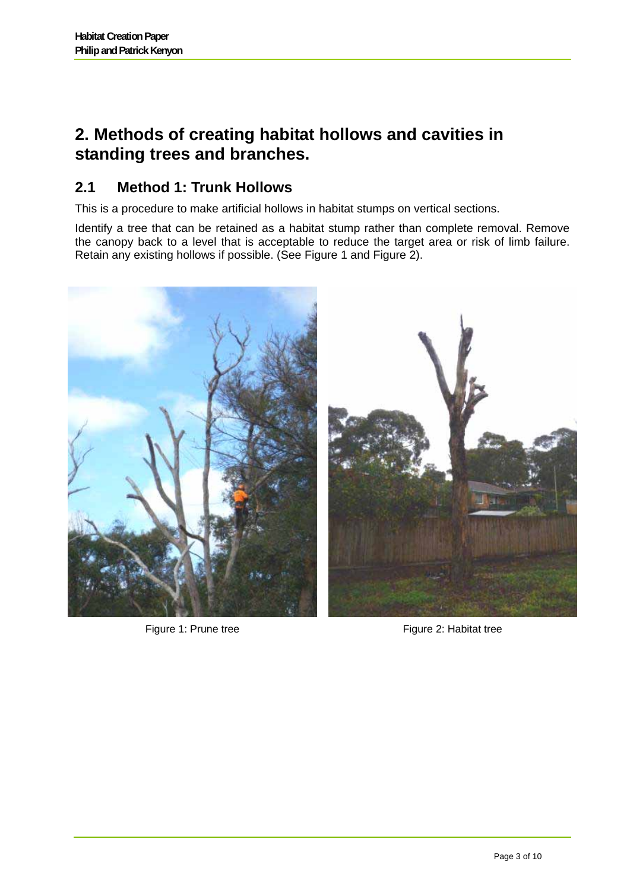### **2. Methods of creating habitat hollows and cavities in standing trees and branches.**

#### **2.1 Method 1: Trunk Hollows**

This is a procedure to make artificial hollows in habitat stumps on vertical sections.

Identify a tree that can be retained as a habitat stump rather than complete removal. Remove the canopy back to a level that is acceptable to reduce the target area or risk of limb failure. Retain any existing hollows if possible. (See Figure 1 and Figure 2).



Figure 1: Prune tree Figure 2: Habitat tree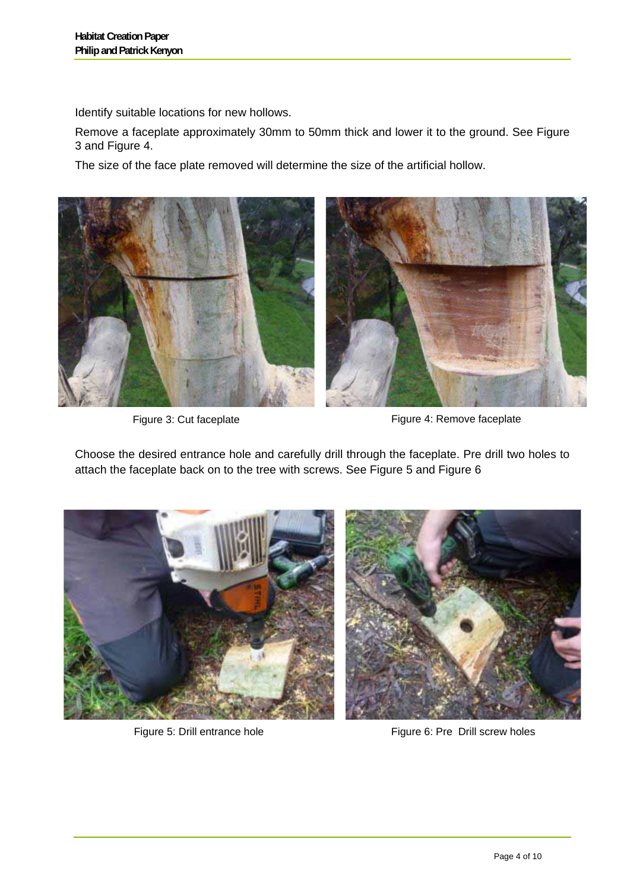Identify suitable locations for new hollows.

Remove a faceplate approximately 30mm to 50mm thick and lower it to the ground. See Figure 3 and Figure 4.

The size of the face plate removed will determine the size of the artificial hollow.



Figure 3: Cut faceplate Figure 4: Remove faceplate

Choose the desired entrance hole and carefully drill through the faceplate. Pre drill two holes to attach the faceplate back on to the tree with screws. See Figure 5 and Figure 6



Figure 5: Drill entrance hole Figure 6: Pre Drill screw holes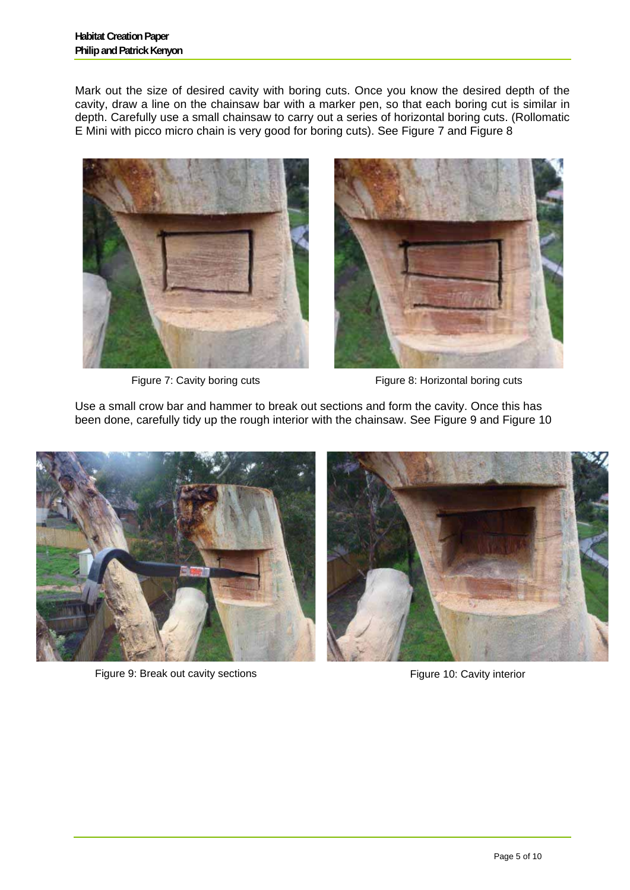Mark out the size of desired cavity with boring cuts. Once you know the desired depth of the cavity, draw a line on the chainsaw bar with a marker pen, so that each boring cut is similar in depth. Carefully use a small chainsaw to carry out a series of horizontal boring cuts. (Rollomatic E Mini with picco micro chain is very good for boring cuts). See Figure 7 and Figure 8





Figure 7: Cavity boring cuts Figure 8: Horizontal boring cuts

Use a small crow bar and hammer to break out sections and form the cavity. Once this has been done, carefully tidy up the rough interior with the chainsaw. See Figure 9 and Figure 10



Figure 9: Break out cavity sections Figure 10: Cavity interior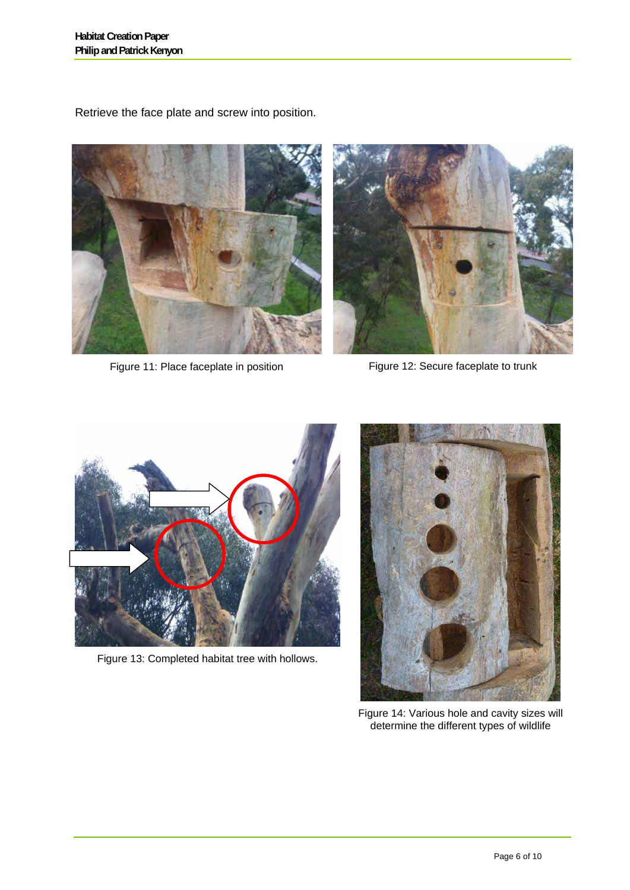Retrieve the face plate and screw into position.



Figure 11: Place faceplate in position Figure 12: Secure faceplate to trunk



Figure 13: Completed habitat tree with hollows.



Figure 14: Various hole and cavity sizes will determine the different types of wildlife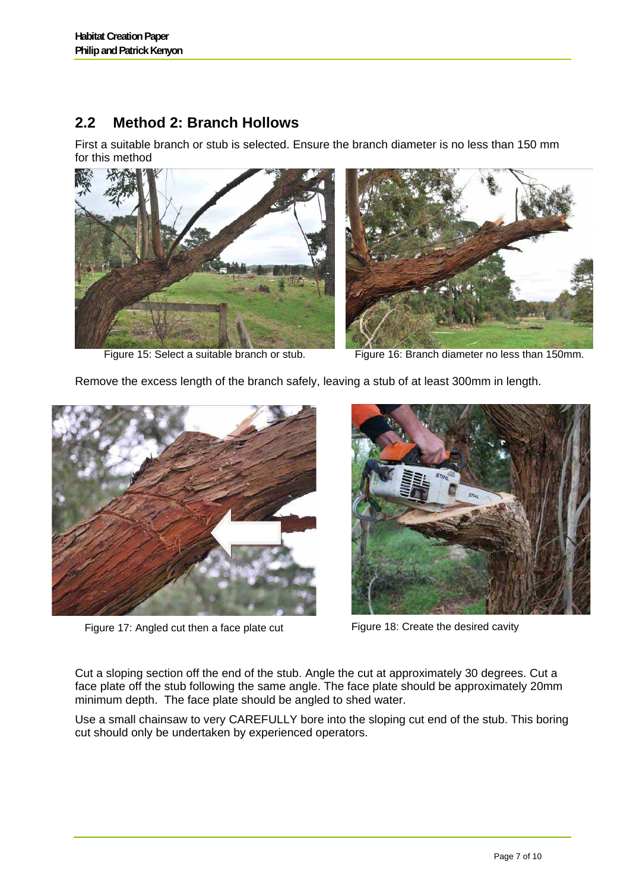#### **2.2 Method 2: Branch Hollows**

First a suitable branch or stub is selected. Ensure the branch diameter is no less than 150 mm for this method







Figure 15: Select a suitable branch or stub. Figure 16: Branch diameter no less than 150mm.

Remove the excess length of the branch safely, leaving a stub of at least 300mm in length.



Figure 17: Angled cut then a face plate cut Figure 18: Create the desired cavity



Cut a sloping section off the end of the stub. Angle the cut at approximately 30 degrees. Cut a face plate off the stub following the same angle. The face plate should be approximately 20mm minimum depth. The face plate should be angled to shed water.

Use a small chainsaw to very CAREFULLY bore into the sloping cut end of the stub. This boring cut should only be undertaken by experienced operators.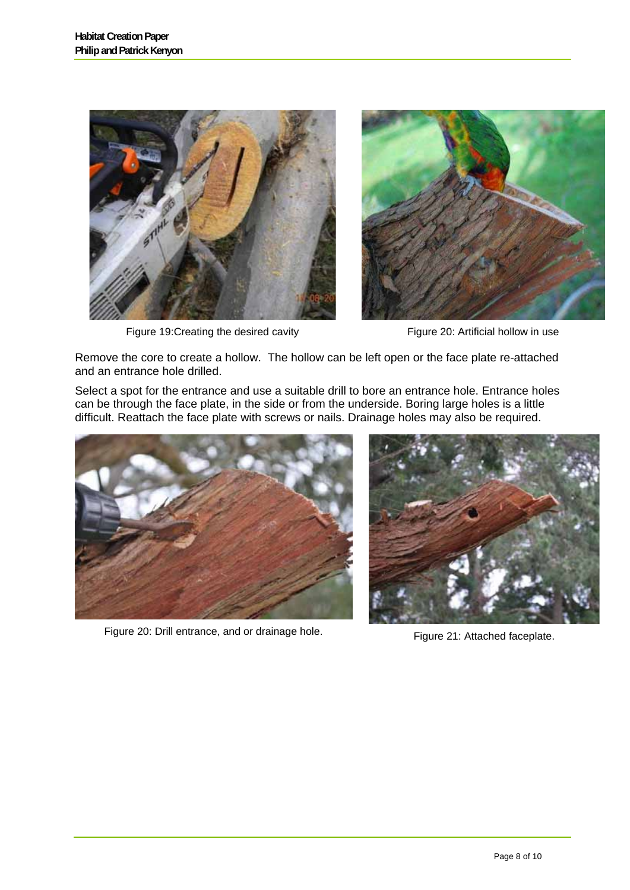

Figure 19: Creating the desired cavity Figure 20: Artificial hollow in use



Remove the core to create a hollow. The hollow can be left open or the face plate re-attached and an entrance hole drilled.

Select a spot for the entrance and use a suitable drill to bore an entrance hole. Entrance holes can be through the face plate, in the side or from the underside. Boring large holes is a little difficult. Reattach the face plate with screws or nails. Drainage holes may also be required.



Figure 20: Drill entrance, and or drainage hole. Figure 21: Attached faceplate.

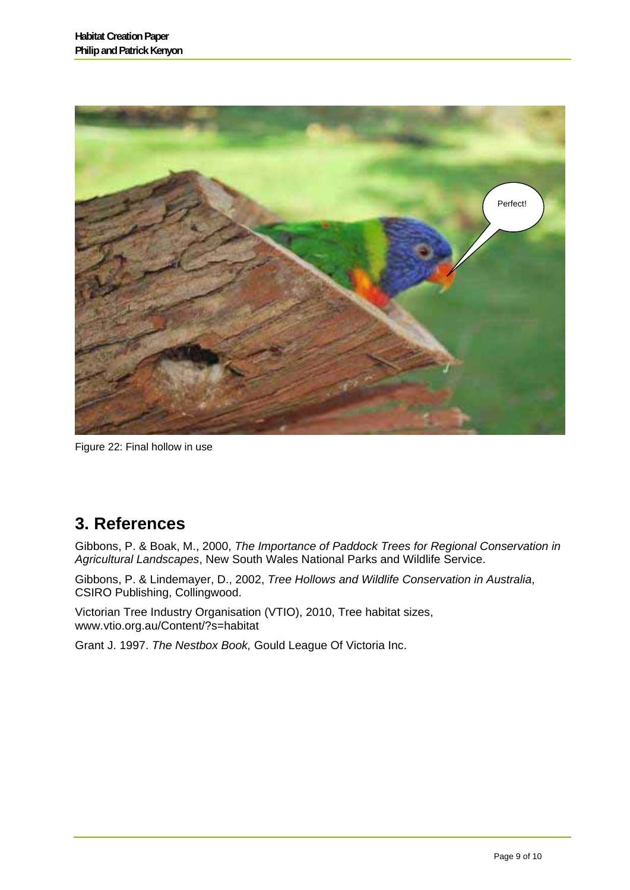

Figure 22: Final hollow in use

## **3. References**

Gibbons, P. & Boak, M., 2000, *The Importance of Paddock Trees for Regional Conservation in Agricultural Landscapes*, New South Wales National Parks and Wildlife Service.

Gibbons, P. & Lindemayer, D., 2002, *Tree Hollows and Wildlife Conservation in Australia*, CSIRO Publishing, Collingwood.

Victorian Tree Industry Organisation (VTIO), 2010, Tree habitat sizes, www.vtio.org.au/Content/?s=habitat

Grant J. 1997. *The Nestbox Book,* Gould League Of Victoria Inc.